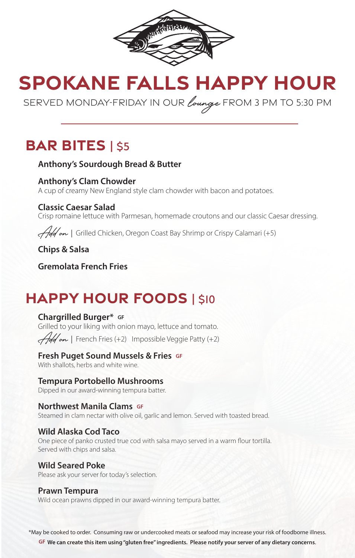

# **SPOKANE FALLS HAPPY HOUR**

SERVED MONDAY-FRIDAY IN OUR *lounge* FROM 3 PM TO 5:30 PM

### **BAR BITES** | \$5

#### **Anthony's Sourdough Bread & Butter**

**Anthony's Clam Chowder** A cup of creamy New England style clam chowder with bacon and potatoes.

#### **Classic Caesar Salad**

Crisp romaine lettuce with Parmesan, homemade croutons and our classic Caesar dressing.

Add on *|* Grilled Chicken, Oregon Coast Bay Shrimp or Crispy Calamari (+5)

**Chips & Salsa**

**Gremolata French Fries**

# **HAPPY HOUR FOODS | \$10**

#### **Chargrilled Burger\* GF**

Grilled to your liking with onion mayo, lettuce and tomato. Add on *|* French Fries (+2) Impossible Veggie Patty (+2)

**Fresh Puget Sound Mussels & Fries GF**

With shallots, herbs and white wine.

**Tempura Portobello Mushrooms** 

Dipped in our award-winning tempura batter.

**Northwest Manila Clams GF** Steamed in clam nectar with olive oil, garlic and lemon. Served with toasted bread.

#### **Wild Alaska Cod Taco**

One piece of panko crusted true cod with salsa mayo served in a warm flour tortilla. Served with chips and salsa.

#### **Wild Seared Poke**

Please ask your server for today's selection.

#### **Prawn Tempura**

Wild ocean prawns dipped in our award-winning tempura batter.

\*May be cooked to order. Consuming raw or undercooked meats or seafood may increase your risk of foodborne illness.

**GF We can create this item using "gluten free" ingredients. Please notify your server of any dietary concerns**.